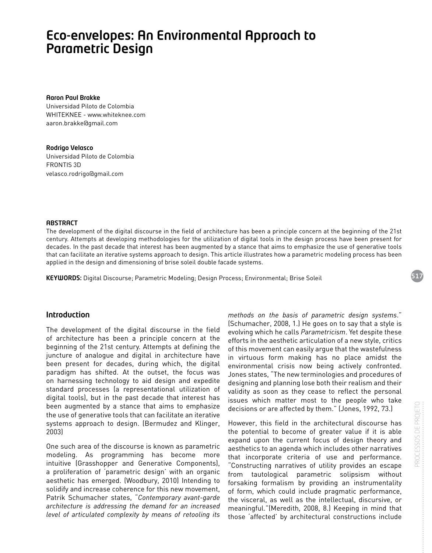# Eco-envelopes: An Environmental Approach to Parametric Design

#### Aaron Paul Brakke

Universidad Piloto de Colombia WHITEKNEE - www.whiteknee.com aaron.brakke@gmail.com

#### Rodrigo Velasco

Universidad Piloto de Colombia FRONTIS 3D velasco.rodrigo@gmail.com

#### **ABSTRACT**

The development of the digital discourse in the field of architecture has been a principle concern at the beginning of the 21st century. Attempts at developing methodologies for the utilization of digital tools in the design process have been present for decades. In the past decade that interest has been augmented by a stance that aims to emphasize the use of generative tools that can facilitate an iterative systems approach to design. This article illustrates how a parametric modeling process has been applied in the design and dimensioning of brise soleil double facade systems.

KEYWORDS: Digital Discourse; Parametric Modeling; Design Process; Environmental; Brise Soleil

### Introduction

The development of the digital discourse in the field of architecture has been a principle concern at the beginning of the 21st century. Attempts at defining the juncture of analogue and digital in architecture have been present for decades, during which, the digital paradigm has shifted. At the outset, the focus was on harnessing technology to aid design and expedite standard processes (a representational utilization of digital tools), but in the past decade that interest has been augmented by a stance that aims to emphasize the use of generative tools that can facilitate an iterative systems approach to design. (Bermudez and Klinger, 2003)

One such area of the discourse is known as parametric modeling. As programming has become more intuitive (Grasshopper and Generative Components), a proliferation of 'parametric design' with an organic aesthetic has emerged. (Woodbury, 2010) Intending to solidify and increase coherence for this new movement, Patrik Schumacher states, "*Contemporary avant-garde architecture is addressing the demand for an increased level of articulated complexity by means of retooling its*  *methods on the basis of parametric design systems*." (Schumacher, 2008, 1.) He goes on to say that a style is evolving which he calls *Parametricism*. Yet despite these efforts in the aesthetic articulation of a new style, critics of this movement can easily argue that the wastefulness in virtuous form making has no place amidst the environmental crisis now being actively confronted. Jones states, "The new terminologies and procedures of designing and planning lose both their realism and their validity as soon as they cease to reflect the personal issues which matter most to the people who take decisions or are affected by them." (Jones, 1992, 73.)

However, this field in the architectural discourse has the potential to become of greater value if it is able expand upon the current focus of design theory and aesthetics to an agenda which includes other narratives that incorporate criteria of use and performance. "Constructing narratives of utility provides an escape from tautological parametric solipsism without forsaking formalism by providing an instrumentality of form, which could include pragmatic performance, the visceral, as well as the intellectual, discursive, or meaningful."(Meredith, 2008, 8.) Keeping in mind that those 'affected' by architectural constructions include

517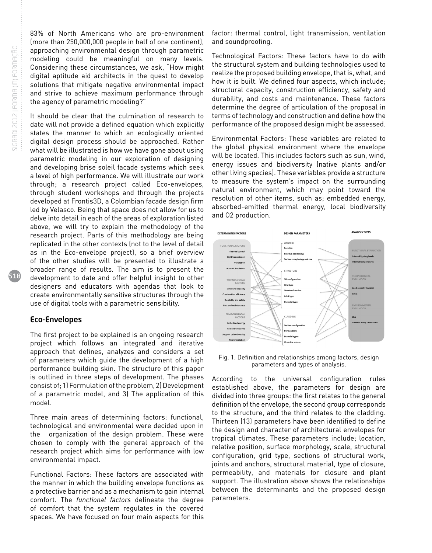518

83% of North Americans who are pro-environment (more than 250,000,000 people in half of one continent), approaching environmental design through parametric modeling could be meaningful on many levels. Considering these circumstances, we ask, "How might digital aptitude aid architects in the quest to develop solutions that mitigate negative environmental impact and strive to achieve maximum performance through the agency of parametric modeling?"

It should be clear that the culmination of research to date will not provide a defined equation which explicitly states the manner to which an ecologically oriented digital design process should be approached. Rather what will be illustrated is how we have gone about using parametric modeling in our exploration of designing and developing brise soleil facade systems which seek a level of high performance. We will illustrate our work through; a research project called Eco-envelopes, through student workshops and through the projects developed at Frontis3D, a Colombian facade design firm led by Velasco. Being that space does not allow for us to delve into detail in each of the areas of exploration listed above, we will try to explain the methodology of the research project. Parts of this methodology are being replicated in the other contexts (not to the level of detail as in the Eco-envelope project), so a brief overview of the other studies will be presented to illustrate a broader range of results. The aim is to present the development to date and offer helpful insight to other designers and educators with agendas that look to create environmentally sensitive structures through the use of digital tools with a parametric sensibility.

#### Eco-Envelopes

The first project to be explained is an ongoing research project which follows an integrated and iterative approach that defines, analyzes and considers a set of parameters which guide the development of a high performance building skin. The structure of this paper is outlined in three steps of development. The phases consist of; 1) Formulation of the problem, 2) Development of a parametric model, and 3) The application of this model.

Three main areas of determining factors: functional, technological and environmental were decided upon in the organization of the design problem. These were chosen to comply with the general approach of the research project which aims for performance with low environmental impact.

Functional Factors: These factors are associated with the manner in which the building envelope functions as a protective barrier and as a mechanism to gain internal comfort. The *functional factors* delineate the degree of comfort that the system regulates in the covered spaces. We have focused on four main aspects for this

factor: thermal control, light transmission, ventilation and soundproofing.

Technological Factors: These factors have to do with the structural system and building technologies used to realize the proposed building envelope, that is, what, and how it is built. We defined four aspects, which include; structural capacity, construction efficiency, safety and durability, and costs and maintenance. These factors determine the degree of articulation of the proposal in terms of technology and construction and define how the performance of the proposed design might be assessed.

Environmental Factors: These variables are related to the global physical environment where the envelope will be located. This includes factors such as sun, wind, energy issues and biodiversity (native plants and/or other living species). These variables provide a structure to measure the system's impact on the surrounding natural environment, which may point toward the resolution of other items, such as; embedded energy, absorbed-emitted thermal energy, local biodiversity and O2 production.



Fig. 1. Definition and relationships among factors, design parameters and types of analysis.

According to the universal configuration rules established above, the parameters for design are divided into three groups: the first relates to the general definition of the envelope, the second group corresponds to the structure, and the third relates to the cladding. Thirteen (13) parameters have been identified to define the design and character of architectural envelopes for tropical climates. These parameters include; location, relative position, surface morphology, scale, structural configuration, grid type, sections of structural work, joints and anchors, structural material, type of closure, permeability, and materials for closure and plant support. The illustration above shows the relationships between the determinants and the proposed design parameters.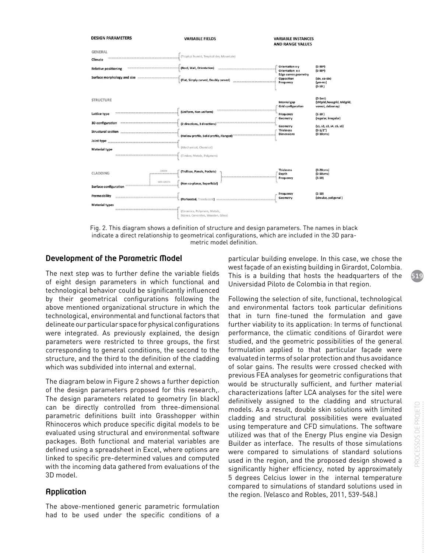

Fig. 2. This diagram shows a definition of structure and design parameters. The names in black indicate a direct relationship to geometrical configurations, which are included in the 3D parametric model definition.

# Development of the Parametric Model

The next step was to further define the variable fields of eight design parameters in which functional and technological behavior could be significantly influenced by their geometrical configurations following the above mentioned organizational structure in which the technological, environmental and functional factors that delineate our particular space for physical configurations were integrated. As previously explained, the design parameters were restricted to three groups, the first corresponding to general conditions, the second to the structure, and the third to the definition of the cladding which was subdivided into internal and external.

The diagram below in Figure 2 shows a further depiction of the design parameters proposed for this research,. The design parameters related to geometry (in black) can be directly controlled from three-dimensional parametric definitions built into Grasshopper within Rhinoceros which produce specific digital models to be evaluated using structural and environmental software packages. Both functional and material variables are defined using a spreadsheet in Excel, where options are linked to specific pre-determined values and computed with the incoming data gathered from evaluations of the 3D model.

# Application

The above-mentioned generic parametric formulation had to be used under the specific conditions of a

particular building envelope. In this case, we chose the west façade of an existing building in Girardot, Colombia. This is a building that hosts the headquarters of the Universidad Piloto de Colombia in that region.

Following the selection of site, functional, technological and environmental factors took particular definitions that in turn fine-tuned the formulation and gave further viability to its application: In terms of functional performance, the climatic conditions of Girardot were studied, and the geometric possibilities of the general formulation applied to that particular façade were evaluated in terms of solar protection and thus avoidance of solar gains. The results were crossed checked with previous FEA analyses for geometric configurations that would be structurally sufficient, and further material characterizations (after LCA analyses for the site) were definitively assigned to the cladding and structural models. As a result, double skin solutions with limited cladding and structural possibilities were evaluated using temperature and CFD simulations. The software utilized was that of the Energy Plus engine via Design Builder as interface. The results of those simulations were compared to simulations of standard solutions used in the region, and the proposed design showed a significantly higher efficiency, noted by approximately 5 degrees Celcius lower in the internal temperature compared to simulations of standard solutions used in the region. (Velasco and Robles, 2011, 539-548.)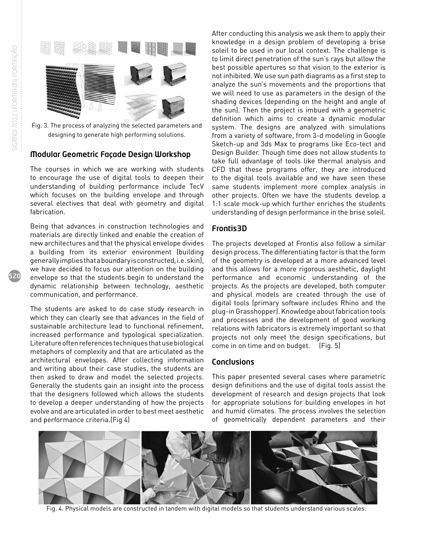

Fig. 3. The process of analyzing the selected parameters and designing to generate high performing solutions.

# Modular Geometric Façade Design Workshop

The courses in which we are working with students to encourage the use of digital tools to deepen their understanding of building performance include TecV which focuses on the building envelope and through several electives that deal with geometry and digital fabrication.

Being that advances in construction technologies and materials are directly linked and enable the creation of new architectures and that the physical envelope divides a building from its exterior environment (building generally implies that a boundary is constructed, i.e. skin), we have decided to focus our attention on the building envelope so that the students begin to understand the dynamic relationship between technology, aesthetic communication, and performance.

The students are asked to do case study research in which they can clearly see that advances in the field of sustainable architecture lead to functional refinement, increased performance and typological specialization. Literature often references techniques that use biological metaphors of complexity and that are articulated as the architectural envelopes. After collecting information and writing about their case studies, the students are then asked to draw and model the selected projects. Generally the students gain an insight into the process that the designers followed which allows the students to develop a deeper understanding of how the projects evolve and are articulated in order to best meet aesthetic and performance criteria.(Fig 4)

After conducting this analysis we ask them to apply their knowledge in a design problem of developing a brise soleil to be used in our local context. The challenge is to limit direct penetration of the sun's rays but allow the best possible apertures so that vision to the exterior is not inhibited. We use sun path diagrams as a first step to analyze the sun's movements and the proportions that we will need to use as parameters in the design of the shading devices (depending on the height and angle of the sun). Then the project is imbued with a geometric definition which aims to create a dynamic modular system. The designs are analyzed with simulations from a variety of software, from 3-d modeling in Google Sketch-up and 3ds Max to programs like Eco-tect and Design Builder. Though time does not allow students to take full advantage of tools like thermal analysis and CFD that these programs offer, they are introduced to the digital tools available and we have seen these same students implement more complex analysis in other projects. Often we have the students develop a 1:1 scale mock-up which further enriches the students understanding of design performance in the brise soleil.

# Frontis3D

The projects developed at Frontis also follow a similar design process. The differentiating factor is that the form of the geometry is developed at a more advanced level and this allows for a more rigorous aesthetic, daylight performance and economic understanding of the projects. As the projects are developed, both computer and physical models are created through the use of digital tools (primary software includes Rhino and the plug-in Grasshopper). Knowledge about fabrication tools and processes and the development of good working relations with fabricators is extremely important so that projects not only meet the design specifications, but come in on time and on budget. (Fig. 5)

## **Conclusions**

This paper presented several cases where parametric design definitions and the use of digital tools assist the development of research and design projects that look for appropriate solutions for building envelopes in hot and humid climates. The process involves the selection of geometrically dependent parameters and their



Fig. 4. Physical models are constructed in tandem with digital models so that students understand various scales.